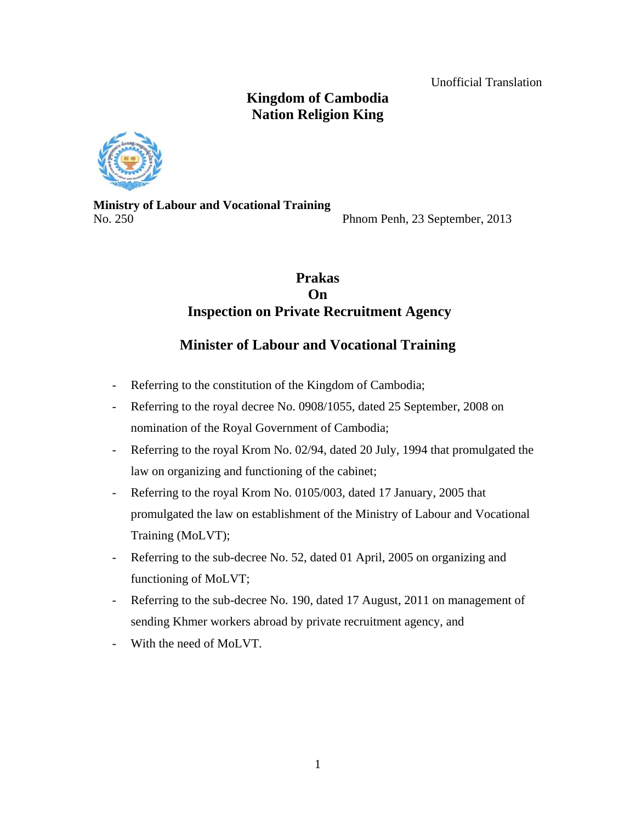Unofficial Translation

# **Kingdom of Cambodia Nation Religion King**



**Ministry of Labour and Vocational Training**  No. 250 Phnom Penh, 23 September, 2013

# **Prakas On Inspection on Private Recruitment Agency**

# **Minister of Labour and Vocational Training**

- Referring to the constitution of the Kingdom of Cambodia;
- Referring to the royal decree No. 0908/1055, dated 25 September, 2008 on nomination of the Royal Government of Cambodia;
- Referring to the royal Krom No. 02/94, dated 20 July, 1994 that promulgated the law on organizing and functioning of the cabinet;
- Referring to the royal Krom No. 0105/003, dated 17 January, 2005 that promulgated the law on establishment of the Ministry of Labour and Vocational Training (MoLVT);
- Referring to the sub-decree No. 52, dated 01 April, 2005 on organizing and functioning of MoLVT;
- Referring to the sub-decree No. 190, dated 17 August, 2011 on management of sending Khmer workers abroad by private recruitment agency, and
- With the need of MoLVT.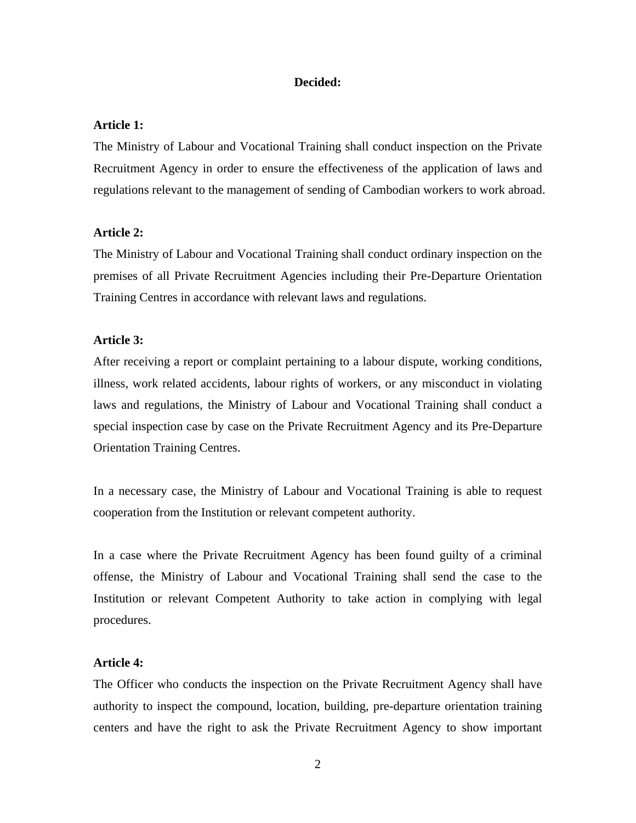## **Decided:**

## **Article 1:**

The Ministry of Labour and Vocational Training shall conduct inspection on the Private Recruitment Agency in order to ensure the effectiveness of the application of laws and regulations relevant to the management of sending of Cambodian workers to work abroad.

#### **Article 2:**

The Ministry of Labour and Vocational Training shall conduct ordinary inspection on the premises of all Private Recruitment Agencies including their Pre-Departure Orientation Training Centres in accordance with relevant laws and regulations.

### **Article 3:**

After receiving a report or complaint pertaining to a labour dispute, working conditions, illness, work related accidents, labour rights of workers, or any misconduct in violating laws and regulations, the Ministry of Labour and Vocational Training shall conduct a special inspection case by case on the Private Recruitment Agency and its Pre-Departure Orientation Training Centres.

In a necessary case, the Ministry of Labour and Vocational Training is able to request cooperation from the Institution or relevant competent authority.

In a case where the Private Recruitment Agency has been found guilty of a criminal offense, the Ministry of Labour and Vocational Training shall send the case to the Institution or relevant Competent Authority to take action in complying with legal procedures.

## **Article 4:**

The Officer who conducts the inspection on the Private Recruitment Agency shall have authority to inspect the compound, location, building, pre-departure orientation training centers and have the right to ask the Private Recruitment Agency to show important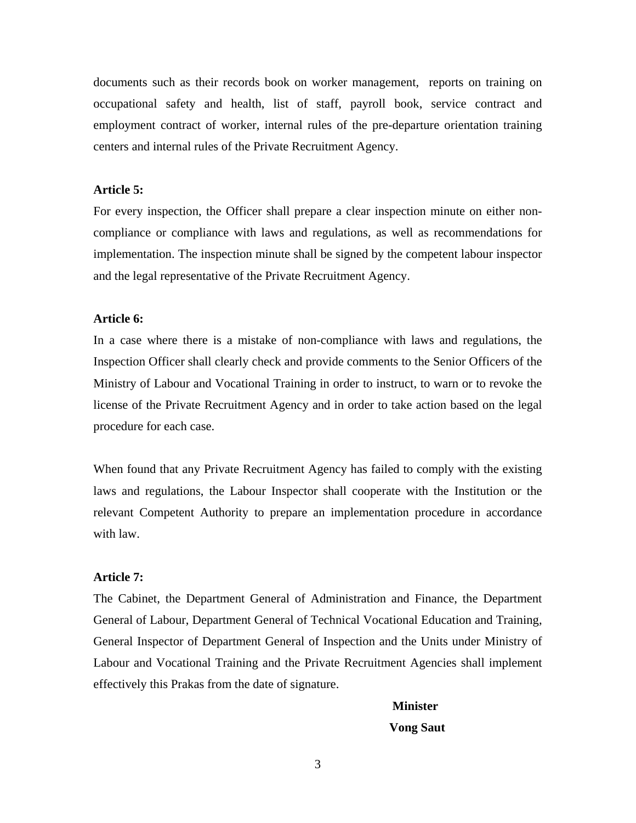documents such as their records book on worker management, reports on training on occupational safety and health, list of staff, payroll book, service contract and employment contract of worker, internal rules of the pre-departure orientation training centers and internal rules of the Private Recruitment Agency.

## **Article 5:**

For every inspection, the Officer shall prepare a clear inspection minute on either noncompliance or compliance with laws and regulations, as well as recommendations for implementation. The inspection minute shall be signed by the competent labour inspector and the legal representative of the Private Recruitment Agency.

#### **Article 6:**

In a case where there is a mistake of non-compliance with laws and regulations, the Inspection Officer shall clearly check and provide comments to the Senior Officers of the Ministry of Labour and Vocational Training in order to instruct, to warn or to revoke the license of the Private Recruitment Agency and in order to take action based on the legal procedure for each case.

When found that any Private Recruitment Agency has failed to comply with the existing laws and regulations, the Labour Inspector shall cooperate with the Institution or the relevant Competent Authority to prepare an implementation procedure in accordance with law.

## **Article 7:**

The Cabinet, the Department General of Administration and Finance, the Department General of Labour, Department General of Technical Vocational Education and Training, General Inspector of Department General of Inspection and the Units under Ministry of Labour and Vocational Training and the Private Recruitment Agencies shall implement effectively this Prakas from the date of signature.

### **Minister**

#### **Vong Saut**